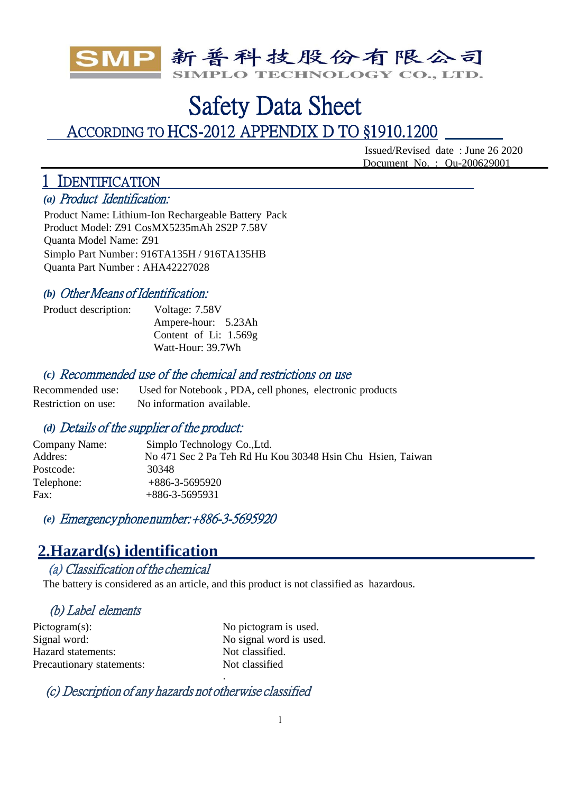

# Safety Data Sheet ACCORDING TO HCS-2012 APPENDIX D TO §1910.1200

Issued/Revised date : June 26 2020 Document No. : Qu-200629001

# 1 IDENTIFICATION

*(a)* Product Identification:

Product Name: Lithium-Ion Rechargeable Battery Pack Product Model: Z91 CosMX5235mAh 2S2P 7.58V Quanta Model Name: Z91 Simplo Part Number: 916TA135H / 916TA135HB Quanta Part Number : AHA42227028

## *(b)* Other Means of Identification:

Product description: Voltage: 7.58V Ampere-hour: 5.23Ah Content of Li: 1.569g Watt-Hour: 39.7Wh

### *(c)* Recommended use of the chemical and restrictions on use

Recommended use: Used for Notebook , PDA, cell phones, electronic products Restriction on use: No information available.

## *(d)* Details of the supplier of the product:

| Simplo Technology Co., Ltd.                                |
|------------------------------------------------------------|
| No 471 Sec 2 Pa Teh Rd Hu Kou 30348 Hsin Chu Hsien, Taiwan |
| 30348                                                      |
| $+886-3-5695920$                                           |
| $+886-3-5695931$                                           |
|                                                            |

*(e)* Emergency phone number: +886-3-5695920

## **2.Hazard(s) identification**

## (a) Classification of the chemical

The battery is considered as an article, and this product is not classified as hazardous.

.

## (b) Label elements

Pictogram(s): No pictogram is used. Signal word: No signal word is used. Hazard statements: Not classified. Precautionary statements: Not classified

(c) Description of any hazards not otherwise classified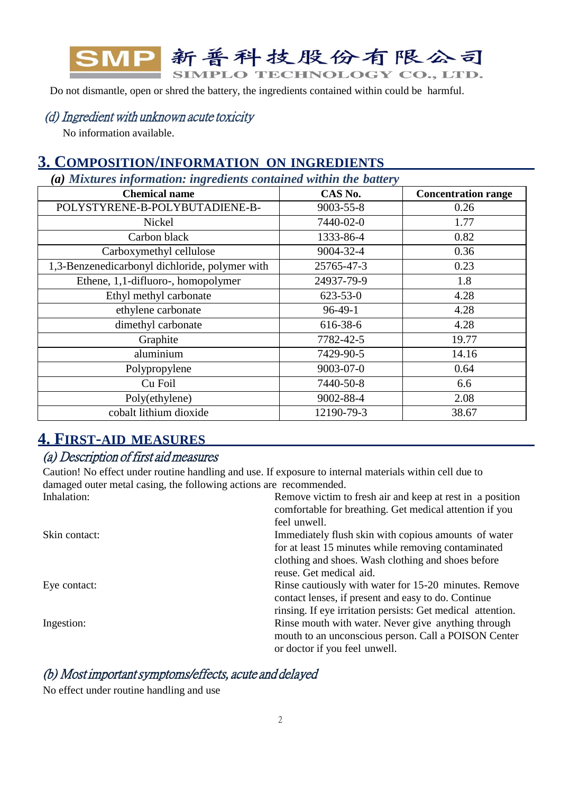

Do not dismantle, open or shred the battery, the ingredients contained within could be harmful.

### (d) Ingredient with unknown acute toxicity

No information available.

## **3. COMPOSITION/INFORMATION ON INGREDIENTS**

*(a) Mixtures information: ingredients contained within the battery*

| <b>Chemical name</b>                           | CAS No.         | <b>Concentration range</b> |
|------------------------------------------------|-----------------|----------------------------|
| POLYSTYRENE-B-POLYBUTADIENE-B-                 | 9003-55-8       | 0.26                       |
| Nickel                                         | 7440-02-0       | 1.77                       |
| Carbon black                                   | 1333-86-4       | 0.82                       |
| Carboxymethyl cellulose                        | 9004-32-4       | 0.36                       |
| 1,3-Benzenedicarbonyl dichloride, polymer with | 25765-47-3      | 0.23                       |
| Ethene, 1,1-difluoro-, homopolymer             | 24937-79-9      | 1.8                        |
| Ethyl methyl carbonate                         | $623 - 53 - 0$  | 4.28                       |
| ethylene carbonate                             | $96-49-1$       | 4.28                       |
| dimethyl carbonate                             | 616-38-6        | 4.28                       |
| Graphite                                       | 7782-42-5       | 19.77                      |
| aluminium                                      | 7429-90-5       | 14.16                      |
| Polypropylene                                  | $9003 - 07 - 0$ | 0.64                       |
| Cu Foil                                        | 7440-50-8       | 6.6                        |
| Poly(ethylene)                                 | 9002-88-4       | 2.08                       |
| cobalt lithium dioxide                         | 12190-79-3      | 38.67                      |

## **4. FIRST-AID MEASURES**

## (a) Description of first aid measures

Caution! No effect under routine handling and use. If exposure to internal materials within cell due to damaged outer metal casing, the following actions are recommended. Inhalation: Remove victim to fresh air and keep at rest in a position

|               | comfortable for breathing. Get medical attention if you     |
|---------------|-------------------------------------------------------------|
|               | feel unwell.                                                |
| Skin contact: | Immediately flush skin with copious amounts of water        |
|               | for at least 15 minutes while removing contaminated         |
|               | clothing and shoes. Wash clothing and shoes before          |
|               | reuse. Get medical aid.                                     |
| Eye contact:  | Rinse cautiously with water for 15-20 minutes. Remove       |
|               | contact lenses, if present and easy to do. Continue         |
|               | rinsing. If eye irritation persists: Get medical attention. |
| Ingestion:    | Rinse mouth with water. Never give anything through         |
|               | mouth to an unconscious person. Call a POISON Center        |
|               | or doctor if you feel unwell.                               |

## (b) Most important symptoms/effects, acute and delayed

No effect under routine handling and use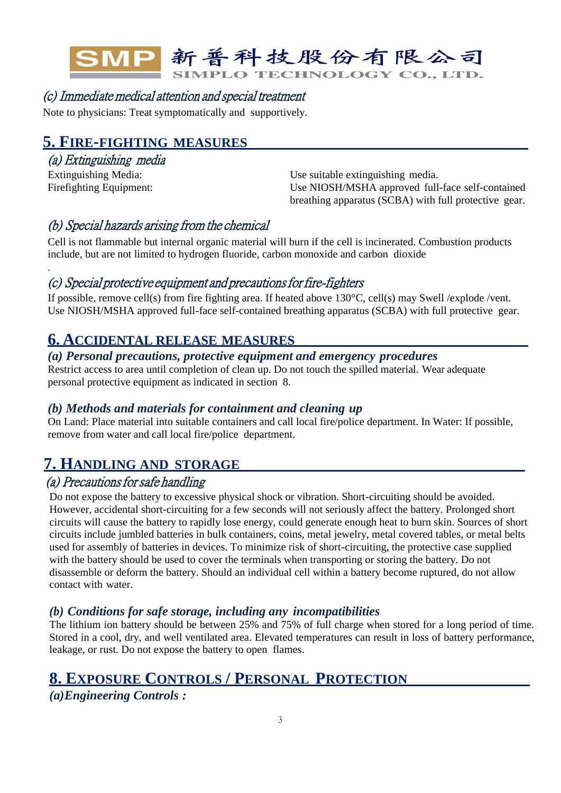

## (c) Immediate medical attention and special treatment

Note to physicians: Treat symptomatically and supportively.

## **5. FIRE-FIGHTING MEASURES**

## (a) Extinguishing media

.

Extinguishing Media: Use suitable extinguishing media. Firefighting Equipment: Use NIOSH/MSHA approved full-face self-contained breathing apparatus (SCBA) with full protective gear.

## (b) Special hazards arising from the chemical

Cell is not flammable but internal organic material will burn if the cell is incinerated. Combustion products include, but are not limited to hydrogen fluoride, carbon monoxide and carbon dioxide

### (c) Special protective equipment and precautions for fire-fighters

If possible, remove cell(s) from fire fighting area. If heated above 130°C, cell(s) may Swell /explode /vent. Use NIOSH/MSHA approved full-face self-contained breathing apparatus (SCBA) with full protective gear.

## **6. ACCIDENTAL RELEASE MEASURES**

#### *(a) Personal precautions, protective equipment and emergency procedures*

Restrict access to area until completion of clean up. Do not touch the spilled material. Wear adequate personal protective equipment as indicated in section 8.

#### *(b) Methods and materials for containment and cleaning up*

On Land: Place material into suitable containers and call local fire/police department. In Water: If possible, remove from water and call local fire/police department.

## **7. HANDLING AND STORAGE**

## (a) Precautions for safe handling

Do not expose the battery to excessive physical shock or vibration. Short-circuiting should be avoided. However, accidental short-circuiting for a few seconds will not seriously affect the battery. Prolonged short circuits will cause the battery to rapidly lose energy, could generate enough heat to burn skin. Sources of short circuits include jumbled batteries in bulk containers, coins, metal jewelry, metal covered tables, or metal belts used for assembly of batteries in devices. To minimize risk of short-circuiting, the protective case supplied with the battery should be used to cover the terminals when transporting or storing the battery. Do not disassemble or deform the battery. Should an individual cell within a battery become ruptured, do not allow contact with water.

#### *(b) Conditions for safe storage, including any incompatibilities*

The lithium ion battery should be between 25% and 75% of full charge when stored for a long period of time. Stored in a cool, dry, and well ventilated area. Elevated temperatures can result in loss of battery performance, leakage, or rust. Do not expose the battery to open flames.

## **8. EXPOSURE CONTROLS / PERSONAL PROTECTION**

*(a)Engineering Controls :*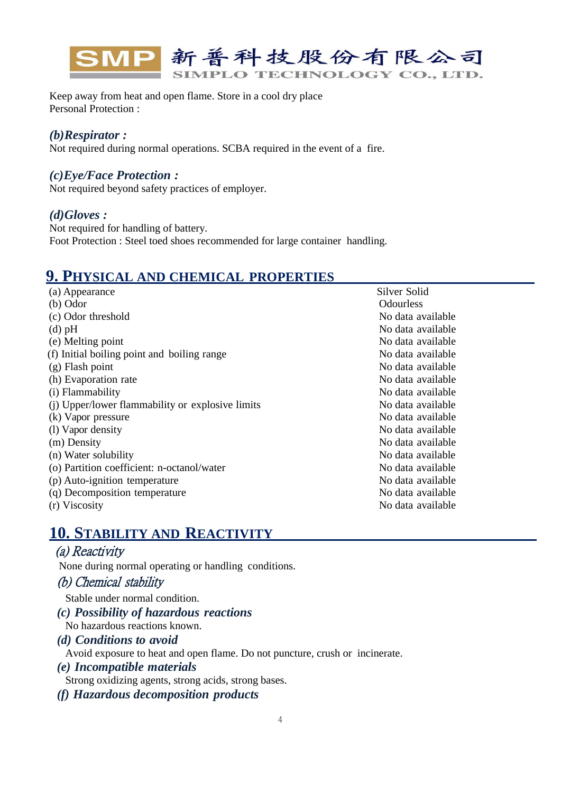

Keep away from heat and open flame. Store in a cool dry place Personal Protection :

#### *(b)Respirator :*

Not required during normal operations. SCBA required in the event of a fire.

#### *(c)Eye/Face Protection :*

Not required beyond safety practices of employer.

#### *(d)Gloves :*

Not required for handling of battery. Foot Protection : Steel toed shoes recommended for large container handling.

## **9. PHYSICAL AND CHEMICAL PROPERTIES**

| (a) Appearance                                   | Silver Solid      |
|--------------------------------------------------|-------------------|
| $(b)$ Odor                                       | <b>Odourless</b>  |
| (c) Odor threshold                               | No data available |
| $(d)$ pH                                         | No data available |
| (e) Melting point                                | No data available |
| (f) Initial boiling point and boiling range      | No data available |
| $(g)$ Flash point                                | No data available |
| (h) Evaporation rate                             | No data available |
| (i) Flammability                                 | No data available |
| (i) Upper/lower flammability or explosive limits | No data available |
| (k) Vapor pressure                               | No data available |
| (1) Vapor density                                | No data available |
| (m) Density                                      | No data available |
| (n) Water solubility                             | No data available |
| (o) Partition coefficient: n-octanol/water       | No data available |
| (p) Auto-ignition temperature                    | No data available |
| (q) Decomposition temperature                    | No data available |
| (r) Viscosity                                    | No data available |

## **10. STABILITY AND REACTIVITY**

### (a) Reactivity

None during normal operating or handling conditions.

#### (b) Chemical stability

Stable under normal condition.

- *(c) Possibility of hazardous reactions* No hazardous reactions known.
- *(d) Conditions to avoid*

Avoid exposure to heat and open flame. Do not puncture, crush or incinerate.

*(e) Incompatible materials*

Strong oxidizing agents, strong acids, strong bases.

*(f) Hazardous decomposition products*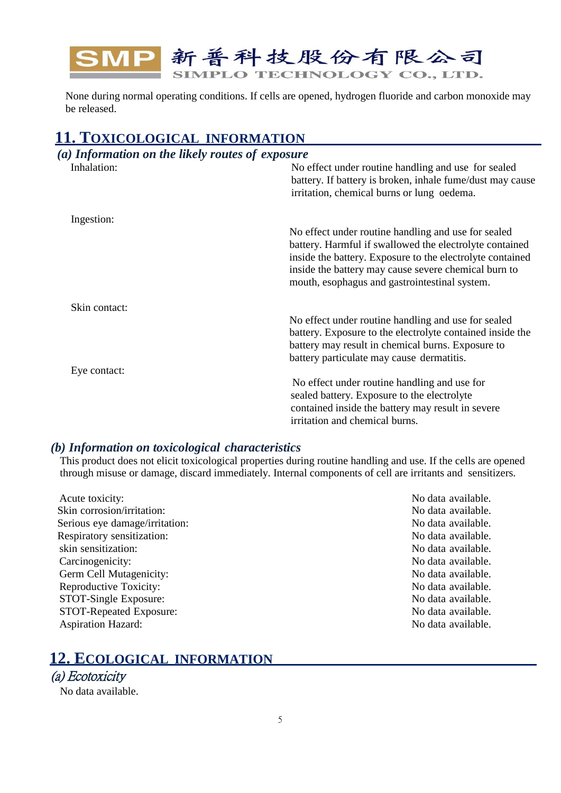

None during normal operating conditions. If cells are opened, hydrogen fluoride and carbon monoxide may be released.

## **11. TOXICOLOGICAL INFORMATION**

| (a) Information on the likely routes of exposure |                                                                                                                                                                                                                                                                                      |
|--------------------------------------------------|--------------------------------------------------------------------------------------------------------------------------------------------------------------------------------------------------------------------------------------------------------------------------------------|
| Inhalation:                                      | No effect under routine handling and use for sealed<br>battery. If battery is broken, inhale fume/dust may cause<br>irritation, chemical burns or lung oedema.                                                                                                                       |
| Ingestion:                                       |                                                                                                                                                                                                                                                                                      |
|                                                  | No effect under routine handling and use for sealed<br>battery. Harmful if swallowed the electrolyte contained<br>inside the battery. Exposure to the electrolyte contained<br>inside the battery may cause severe chemical burn to<br>mouth, esophagus and gastrointestinal system. |
| Skin contact:                                    |                                                                                                                                                                                                                                                                                      |
|                                                  | No effect under routine handling and use for sealed<br>battery. Exposure to the electrolyte contained inside the<br>battery may result in chemical burns. Exposure to<br>battery particulate may cause dermatitis.                                                                   |
| Eye contact:                                     |                                                                                                                                                                                                                                                                                      |
|                                                  | No effect under routine handling and use for<br>sealed battery. Exposure to the electrolyte                                                                                                                                                                                          |
|                                                  | contained inside the battery may result in severe                                                                                                                                                                                                                                    |
|                                                  | irritation and chemical burns.                                                                                                                                                                                                                                                       |

#### *(b) Information on toxicological characteristics*

This product does not elicit toxicological properties during routine handling and use. If the cells are opened through misuse or damage, discard immediately. Internal components of cell are irritants and sensitizers.

Acute toxicity: No data available. Skin corrosion/irritation: No data available. Serious eye damage/irritation: No data available. Respiratory sensitization: No data available. skin sensitization: No data available. Carcinogenicity: No data available. Germ Cell Mutagenicity: No data available. Reproductive Toxicity: No data available. STOT-Single Exposure: No data available. STOT-Repeated Exposure: No data available. Aspiration Hazard: No data available.

## **12. ECOLOGICAL INFORMATION**

## (a) Ecotoxicity

No data available.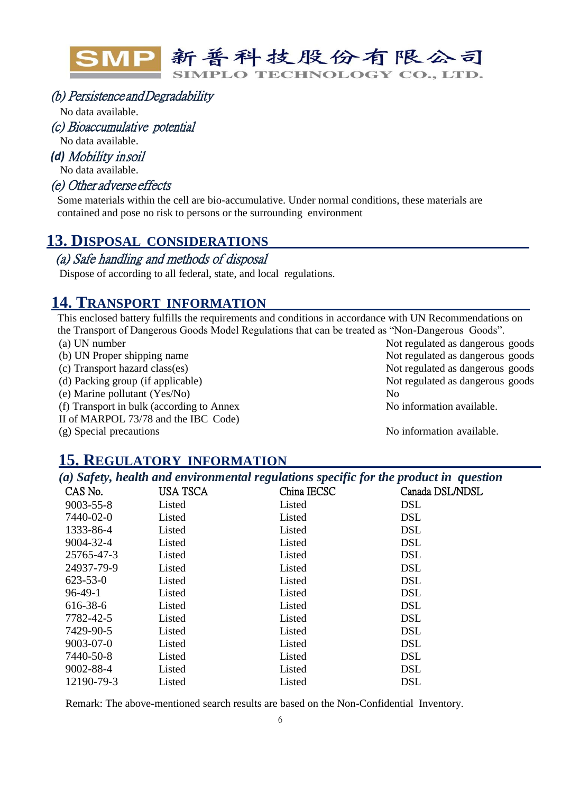

#### (b) Persistence and Degradability

No data available.

(c) Bioaccumulative potential

No data available.

*(d)* Mobility in soil

No data available.

#### (e) Other adverse effects

Some materials within the cell are bio-accumulative. Under normal conditions, these materials are contained and pose no risk to persons or the surrounding environment

## **13. DISPOSAL CONSIDERATIONS**

#### (a) Safe handling and methods of disposal

Dispose of according to all federal, state, and local regulations.

## **14. TRANSPORT INFORMATION**

This enclosed battery fulfills the requirements and conditions in accordance with UN Recommendations on the Transport of Dangerous Goods Model Regulations that can be treated as "Non-Dangerous Goods".

- 
- 
- 
- (e) Marine pollutant (Yes/No) No
- (f) Transport in bulk (according to Annex
- II of MARPOL 73/78 and the IBC Code)

(a) UN number Not regulated as dangerous goods (b) UN Proper shipping name  $\blacksquare$  Not regulated as dangerous goods (c) Transport hazard class(es) Not regulated as dangerous goods (d) Packing group (if applicable) Not regulated as dangerous goods

No information available.

(g) Special precautions No information available.

#### **15. REGULATORY INFORMATION**

*(a) Safety, health and environmental regulations specific for the product in question*

| CAS No.         | USA TSCA | China IECSC | Canada DSL/NDSL |
|-----------------|----------|-------------|-----------------|
| $9003 - 55 - 8$ | Listed   | Listed      | <b>DSL</b>      |
| 7440-02-0       | Listed   | Listed      | <b>DSL</b>      |
| 1333-86-4       | Listed   | Listed      | <b>DSL</b>      |
| 9004-32-4       | Listed   | Listed      | <b>DSL</b>      |
| 25765-47-3      | Listed   | Listed      | <b>DSL</b>      |
| 24937-79-9      | Listed   | Listed      | <b>DSL</b>      |
| $623 - 53 - 0$  | Listed   | Listed      | <b>DSL</b>      |
| $96-49-1$       | Listed   | Listed      | <b>DSL</b>      |
| 616-38-6        | Listed   | Listed      | <b>DSL</b>      |
| 7782-42-5       | Listed   | Listed      | <b>DSL</b>      |
| 7429-90-5       | Listed   | Listed      | <b>DSL</b>      |
| $9003 - 07 - 0$ | Listed   | Listed      | <b>DSL</b>      |
| 7440-50-8       | Listed   | Listed      | <b>DSL</b>      |
| 9002-88-4       | Listed   | Listed      | <b>DSL</b>      |
| 12190-79-3      | Listed   | Listed      | <b>DSL</b>      |

Remark: The above-mentioned search results are based on the Non-Confidential Inventory.